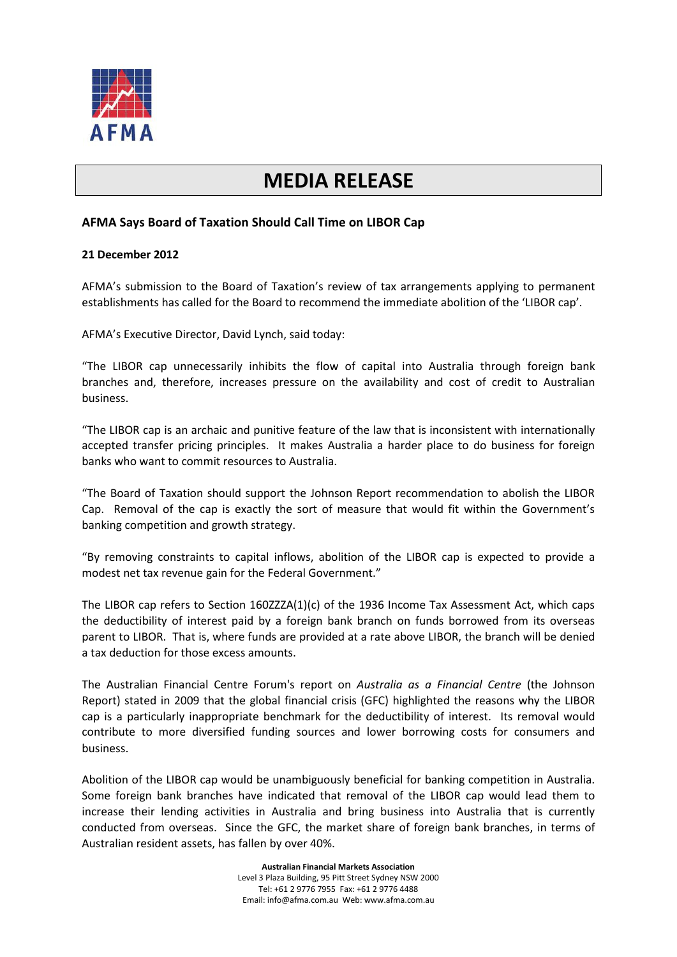

## **MEDIA RELEASE**

## **AFMA Says Board of Taxation Should Call Time on LIBOR Cap**

## **21 December 2012**

AFMA's submission to the Board of Taxation's review of tax arrangements applying to permanent establishments has called for the Board to recommend the immediate abolition of the 'LIBOR cap'.

AFMA's Executive Director, David Lynch, said today:

"The LIBOR cap unnecessarily inhibits the flow of capital into Australia through foreign bank branches and, therefore, increases pressure on the availability and cost of credit to Australian business.

"The LIBOR cap is an archaic and punitive feature of the law that is inconsistent with internationally accepted transfer pricing principles. It makes Australia a harder place to do business for foreign banks who want to commit resources to Australia.

"The Board of Taxation should support the Johnson Report recommendation to abolish the LIBOR Cap. Removal of the cap is exactly the sort of measure that would fit within the Government's banking competition and growth strategy.

"By removing constraints to capital inflows, abolition of the LIBOR cap is expected to provide a modest net tax revenue gain for the Federal Government."

The LIBOR cap refers to Section 160ZZZA(1)(c) of the 1936 Income Tax Assessment Act, which caps the deductibility of interest paid by a foreign bank branch on funds borrowed from its overseas parent to LIBOR. That is, where funds are provided at a rate above LIBOR, the branch will be denied a tax deduction for those excess amounts.

The Australian Financial Centre Forum's report on *Australia as a Financial Centre* (the Johnson Report) stated in 2009 that the global financial crisis (GFC) highlighted the reasons why the LIBOR cap is a particularly inappropriate benchmark for the deductibility of interest. Its removal would contribute to more diversified funding sources and lower borrowing costs for consumers and business.

Abolition of the LIBOR cap would be unambiguously beneficial for banking competition in Australia. Some foreign bank branches have indicated that removal of the LIBOR cap would lead them to increase their lending activities in Australia and bring business into Australia that is currently conducted from overseas. Since the GFC, the market share of foreign bank branches, in terms of Australian resident assets, has fallen by over 40%.